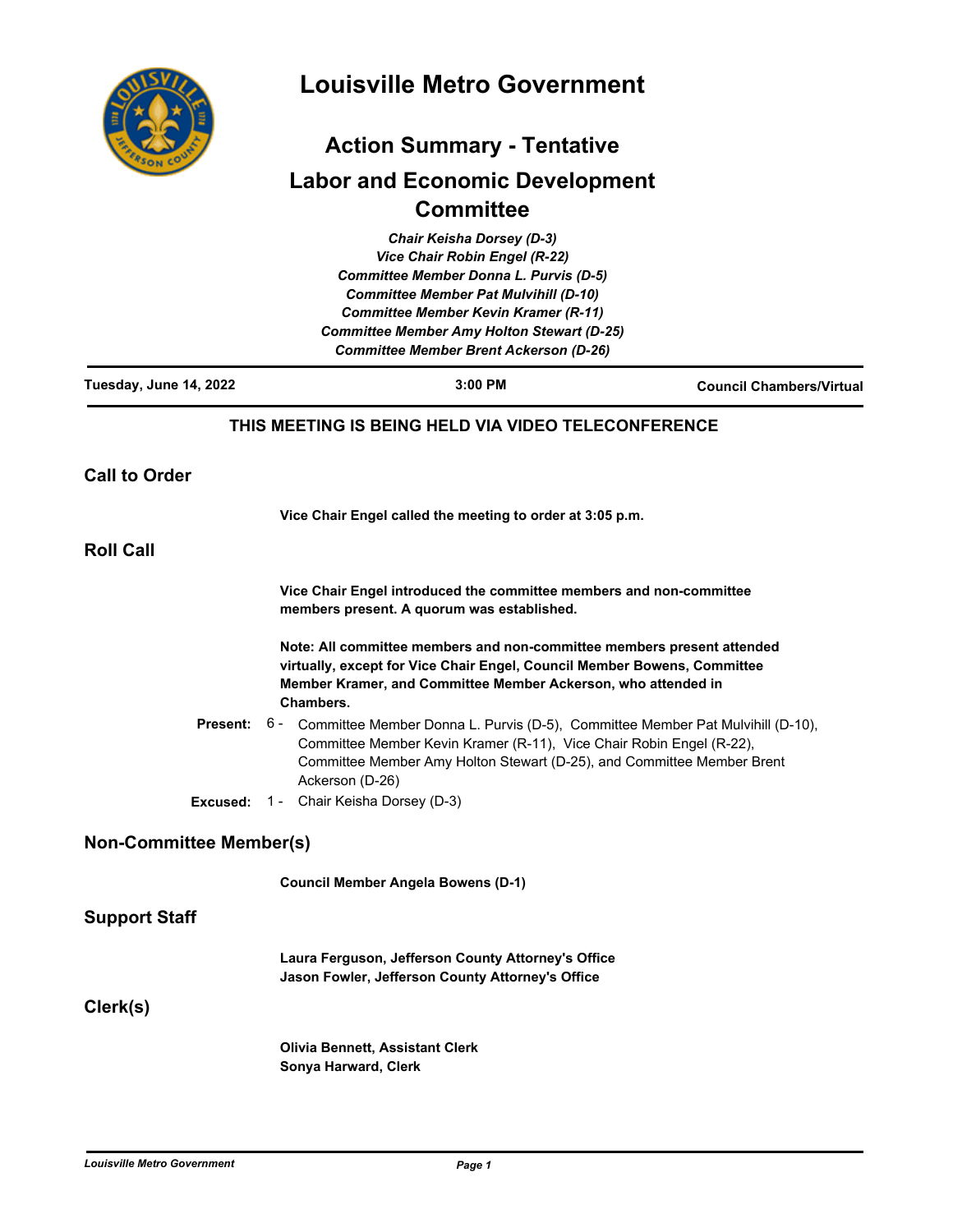

# **Louisville Metro Government**

# **Action Summary - Tentative Labor and Economic Development Committee**

|                                | <b>Chair Keisha Dorsey (D-3)</b>                                                                                                                                                                                                                        |                                 |
|--------------------------------|---------------------------------------------------------------------------------------------------------------------------------------------------------------------------------------------------------------------------------------------------------|---------------------------------|
|                                | <b>Vice Chair Robin Engel (R-22)</b>                                                                                                                                                                                                                    |                                 |
|                                | <b>Committee Member Donna L. Purvis (D-5)</b>                                                                                                                                                                                                           |                                 |
|                                | <b>Committee Member Pat Mulvihill (D-10)</b>                                                                                                                                                                                                            |                                 |
|                                | <b>Committee Member Kevin Kramer (R-11)</b><br><b>Committee Member Amy Holton Stewart (D-25)</b>                                                                                                                                                        |                                 |
|                                | <b>Committee Member Brent Ackerson (D-26)</b>                                                                                                                                                                                                           |                                 |
| Tuesday, June 14, 2022         | 3:00 PM                                                                                                                                                                                                                                                 | <b>Council Chambers/Virtual</b> |
|                                | THIS MEETING IS BEING HELD VIA VIDEO TELECONFERENCE                                                                                                                                                                                                     |                                 |
| <b>Call to Order</b>           |                                                                                                                                                                                                                                                         |                                 |
|                                | Vice Chair Engel called the meeting to order at 3:05 p.m.                                                                                                                                                                                               |                                 |
| <b>Roll Call</b>               |                                                                                                                                                                                                                                                         |                                 |
|                                | Vice Chair Engel introduced the committee members and non-committee<br>members present. A quorum was established.                                                                                                                                       |                                 |
|                                | Note: All committee members and non-committee members present attended<br>virtually, except for Vice Chair Engel, Council Member Bowens, Committee<br>Member Kramer, and Committee Member Ackerson, who attended in<br>Chambers.                        |                                 |
| <b>Present:</b>                | 6 - Committee Member Donna L. Purvis (D-5), Committee Member Pat Mulvihill (D-10),<br>Committee Member Kevin Kramer (R-11), Vice Chair Robin Engel (R-22),<br>Committee Member Amy Holton Stewart (D-25), and Committee Member Brent<br>Ackerson (D-26) |                                 |
|                                | <b>Excused:</b> 1 - Chair Keisha Dorsey (D-3)                                                                                                                                                                                                           |                                 |
| <b>Non-Committee Member(s)</b> |                                                                                                                                                                                                                                                         |                                 |
|                                | <b>Council Member Angela Bowens (D-1)</b>                                                                                                                                                                                                               |                                 |
| Support Staff                  |                                                                                                                                                                                                                                                         |                                 |
|                                | Laura Ferguson, Jefferson County Attorney's Office<br>Jason Fowler, Jefferson County Attorney's Office                                                                                                                                                  |                                 |
| Clerk(s)                       |                                                                                                                                                                                                                                                         |                                 |
|                                | <b>Olivia Bennett, Assistant Clerk</b><br>Sonya Harward, Clerk                                                                                                                                                                                          |                                 |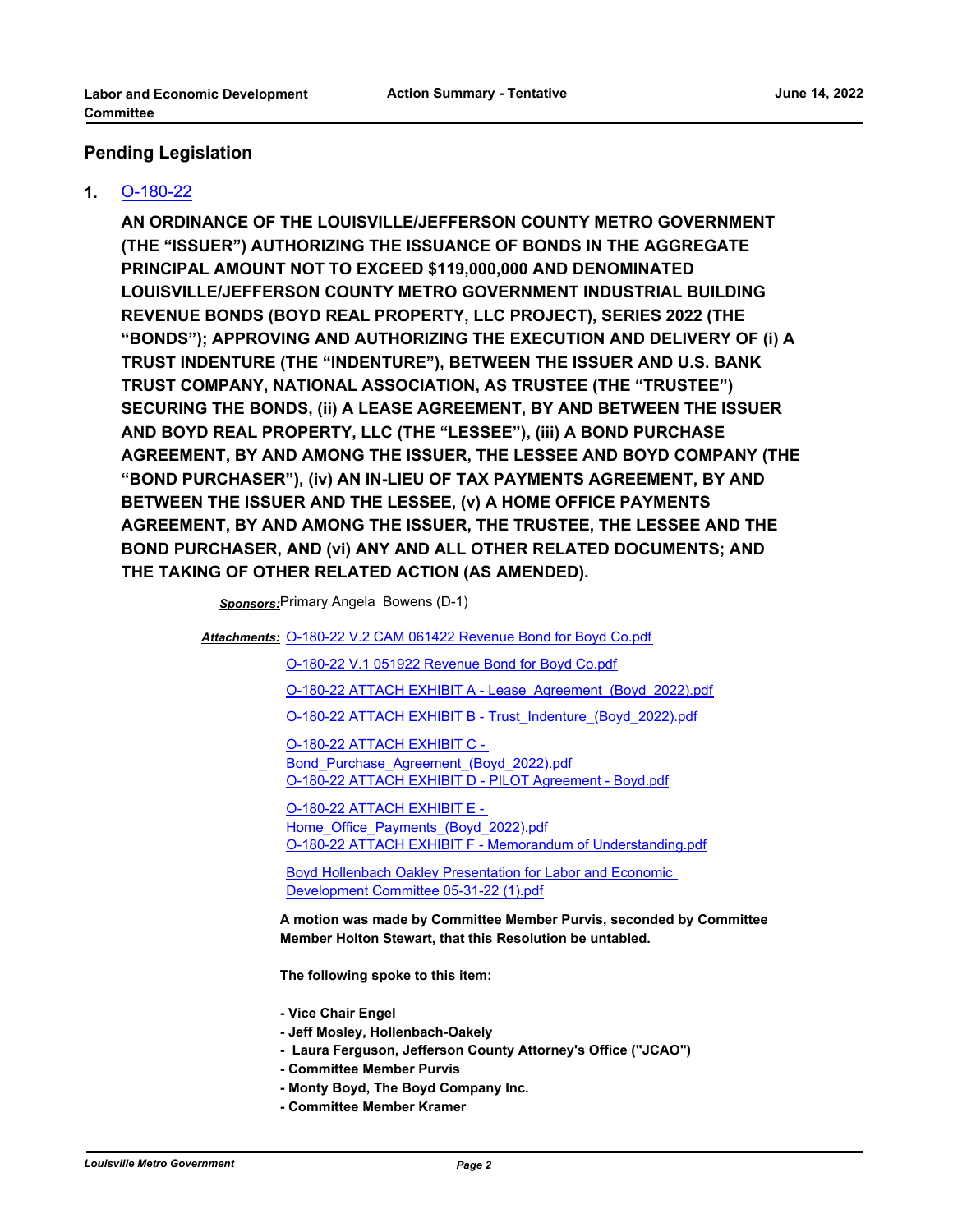### **Pending Legislation**

#### **1.** [O-180-22](http://louisville.legistar.com/gateway.aspx?m=l&id=/matter.aspx?key=60342)

**AN ORDINANCE OF THE LOUISVILLE/JEFFERSON COUNTY METRO GOVERNMENT (THE "ISSUER") AUTHORIZING THE ISSUANCE OF BONDS IN THE AGGREGATE PRINCIPAL AMOUNT NOT TO EXCEED \$119,000,000 AND DENOMINATED LOUISVILLE/JEFFERSON COUNTY METRO GOVERNMENT INDUSTRIAL BUILDING REVENUE BONDS (BOYD REAL PROPERTY, LLC PROJECT), SERIES 2022 (THE "BONDS"); APPROVING AND AUTHORIZING THE EXECUTION AND DELIVERY OF (i) A TRUST INDENTURE (THE "INDENTURE"), BETWEEN THE ISSUER AND U.S. BANK TRUST COMPANY, NATIONAL ASSOCIATION, AS TRUSTEE (THE "TRUSTEE") SECURING THE BONDS, (ii) A LEASE AGREEMENT, BY AND BETWEEN THE ISSUER AND BOYD REAL PROPERTY, LLC (THE "LESSEE"), (iii) A BOND PURCHASE AGREEMENT, BY AND AMONG THE ISSUER, THE LESSEE AND BOYD COMPANY (THE "BOND PURCHASER"), (iv) AN IN-LIEU OF TAX PAYMENTS AGREEMENT, BY AND BETWEEN THE ISSUER AND THE LESSEE, (v) A HOME OFFICE PAYMENTS AGREEMENT, BY AND AMONG THE ISSUER, THE TRUSTEE, THE LESSEE AND THE BOND PURCHASER, AND (vi) ANY AND ALL OTHER RELATED DOCUMENTS; AND THE TAKING OF OTHER RELATED ACTION (AS AMENDED).**

*Sponsors:*Primary Angela Bowens (D-1)

Attachments: [O-180-22 V.2 CAM 061422 Revenue Bond for Boyd Co.pdf](http://louisville.legistar.com/gateway.aspx?M=F&ID=cfbc8cf4-580d-49db-ad6c-4586766daac0.pdf)

[O-180-22 V.1 051922 Revenue Bond for Boyd Co.pdf](http://louisville.legistar.com/gateway.aspx?M=F&ID=34bd2ecf-6476-41af-bed9-0d88f936d2ce.pdf)

[O-180-22 ATTACH EXHIBIT A - Lease\\_Agreement\\_\(Boyd\\_2022\).pdf](http://louisville.legistar.com/gateway.aspx?M=F&ID=c5f027bc-27f8-4979-ad40-fa7a6ef99e61.pdf)

[O-180-22 ATTACH EXHIBIT B - Trust\\_Indenture\\_\(Boyd\\_2022\).pdf](http://louisville.legistar.com/gateway.aspx?M=F&ID=5764eb1a-3a1f-465d-9dc4-2fee5b65707e.pdf)

O-180-22 ATTACH EXHIBIT C - Bond Purchase Agreement (Boyd 2022).pdf [O-180-22 ATTACH EXHIBIT D - PILOT Agreement - Boyd.pdf](http://louisville.legistar.com/gateway.aspx?M=F&ID=76cb4044-d79f-4d34-8f57-9ec1b93a3431.pdf)

O-180-22 ATTACH EXHIBIT E - [Home\\_Office\\_Payments\\_\(Boyd\\_2022\).pdf](http://louisville.legistar.com/gateway.aspx?M=F&ID=fb6f23c7-188b-476e-8efc-8d551548177d.pdf) [O-180-22 ATTACH EXHIBIT F - Memorandum of Understanding.pdf](http://louisville.legistar.com/gateway.aspx?M=F&ID=2a491458-3636-4b2e-ba19-c5701b4887aa.pdf)

**Boyd Hollenbach Oakley Presentation for Labor and Economic** Development Committee 05-31-22 (1).pdf

**A motion was made by Committee Member Purvis, seconded by Committee Member Holton Stewart, that this Resolution be untabled.**

**The following spoke to this item:** 

**- Vice Chair Engel**

- **Jeff Mosley, Hollenbach-Oakely**
- **Laura Ferguson, Jefferson County Attorney's Office ("JCAO")**
- **Committee Member Purvis**
- **Monty Boyd, The Boyd Company Inc.**
- **Committee Member Kramer**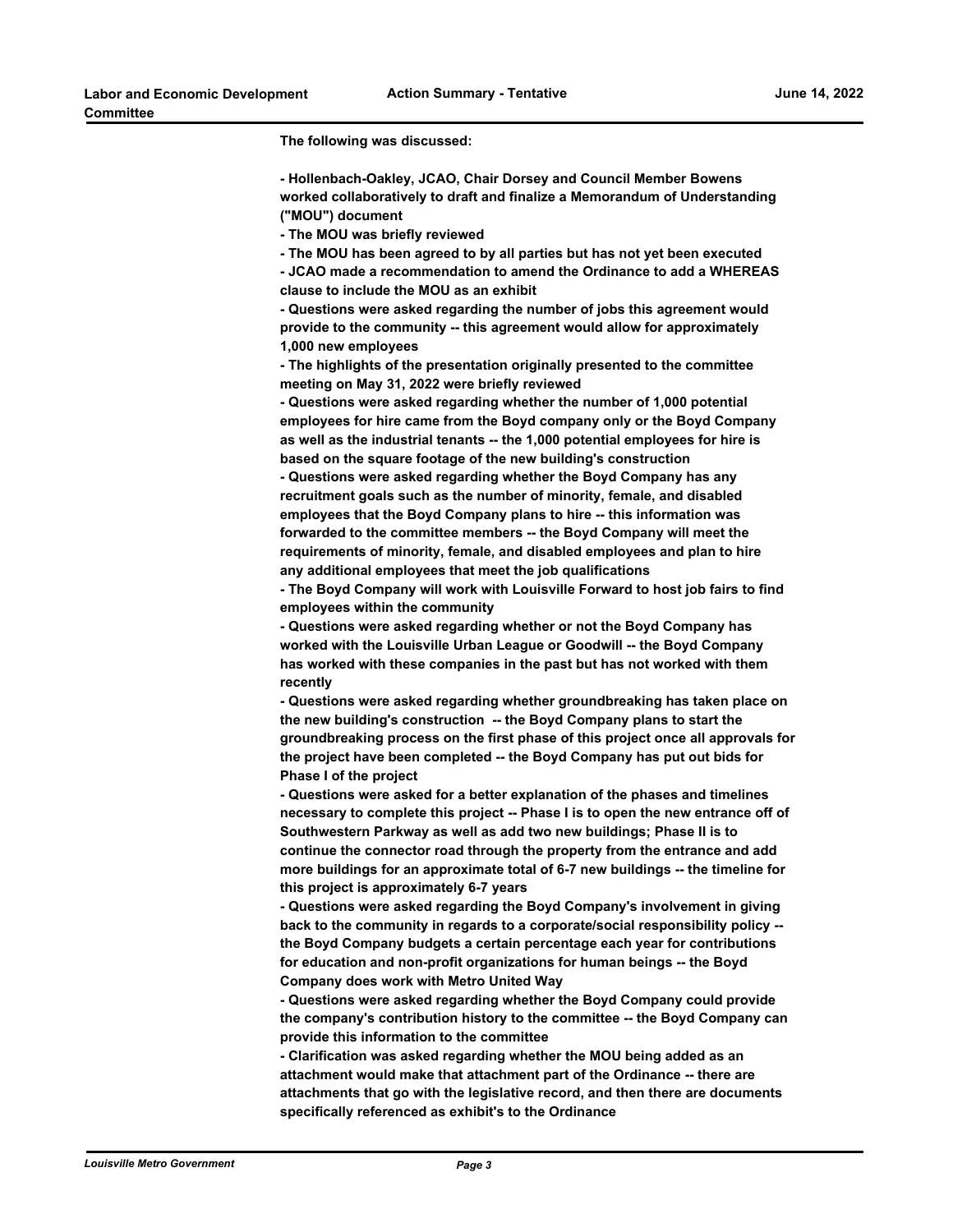**The following was discussed:** 

**- Hollenbach-Oakley, JCAO, Chair Dorsey and Council Member Bowens worked collaboratively to draft and finalize a Memorandum of Understanding ("MOU") document** 

**- The MOU was briefly reviewed** 

**- The MOU has been agreed to by all parties but has not yet been executed**

**- JCAO made a recommendation to amend the Ordinance to add a WHEREAS clause to include the MOU as an exhibit**

**- Questions were asked regarding the number of jobs this agreement would provide to the community -- this agreement would allow for approximately 1,000 new employees** 

**- The highlights of the presentation originally presented to the committee meeting on May 31, 2022 were briefly reviewed** 

**- Questions were asked regarding whether the number of 1,000 potential employees for hire came from the Boyd company only or the Boyd Company as well as the industrial tenants -- the 1,000 potential employees for hire is based on the square footage of the new building's construction** 

**- Questions were asked regarding whether the Boyd Company has any recruitment goals such as the number of minority, female, and disabled employees that the Boyd Company plans to hire -- this information was forwarded to the committee members -- the Boyd Company will meet the requirements of minority, female, and disabled employees and plan to hire any additional employees that meet the job qualifications** 

**- The Boyd Company will work with Louisville Forward to host job fairs to find employees within the community** 

**- Questions were asked regarding whether or not the Boyd Company has worked with the Louisville Urban League or Goodwill -- the Boyd Company has worked with these companies in the past but has not worked with them recently** 

**- Questions were asked regarding whether groundbreaking has taken place on the new building's construction -- the Boyd Company plans to start the groundbreaking process on the first phase of this project once all approvals for the project have been completed -- the Boyd Company has put out bids for Phase I of the project** 

**- Questions were asked for a better explanation of the phases and timelines necessary to complete this project -- Phase I is to open the new entrance off of Southwestern Parkway as well as add two new buildings; Phase II is to continue the connector road through the property from the entrance and add more buildings for an approximate total of 6-7 new buildings -- the timeline for this project is approximately 6-7 years** 

**- Questions were asked regarding the Boyd Company's involvement in giving back to the community in regards to a corporate/social responsibility policy - the Boyd Company budgets a certain percentage each year for contributions for education and non-profit organizations for human beings -- the Boyd Company does work with Metro United Way** 

**- Questions were asked regarding whether the Boyd Company could provide the company's contribution history to the committee -- the Boyd Company can provide this information to the committee** 

**- Clarification was asked regarding whether the MOU being added as an attachment would make that attachment part of the Ordinance -- there are attachments that go with the legislative record, and then there are documents specifically referenced as exhibit's to the Ordinance**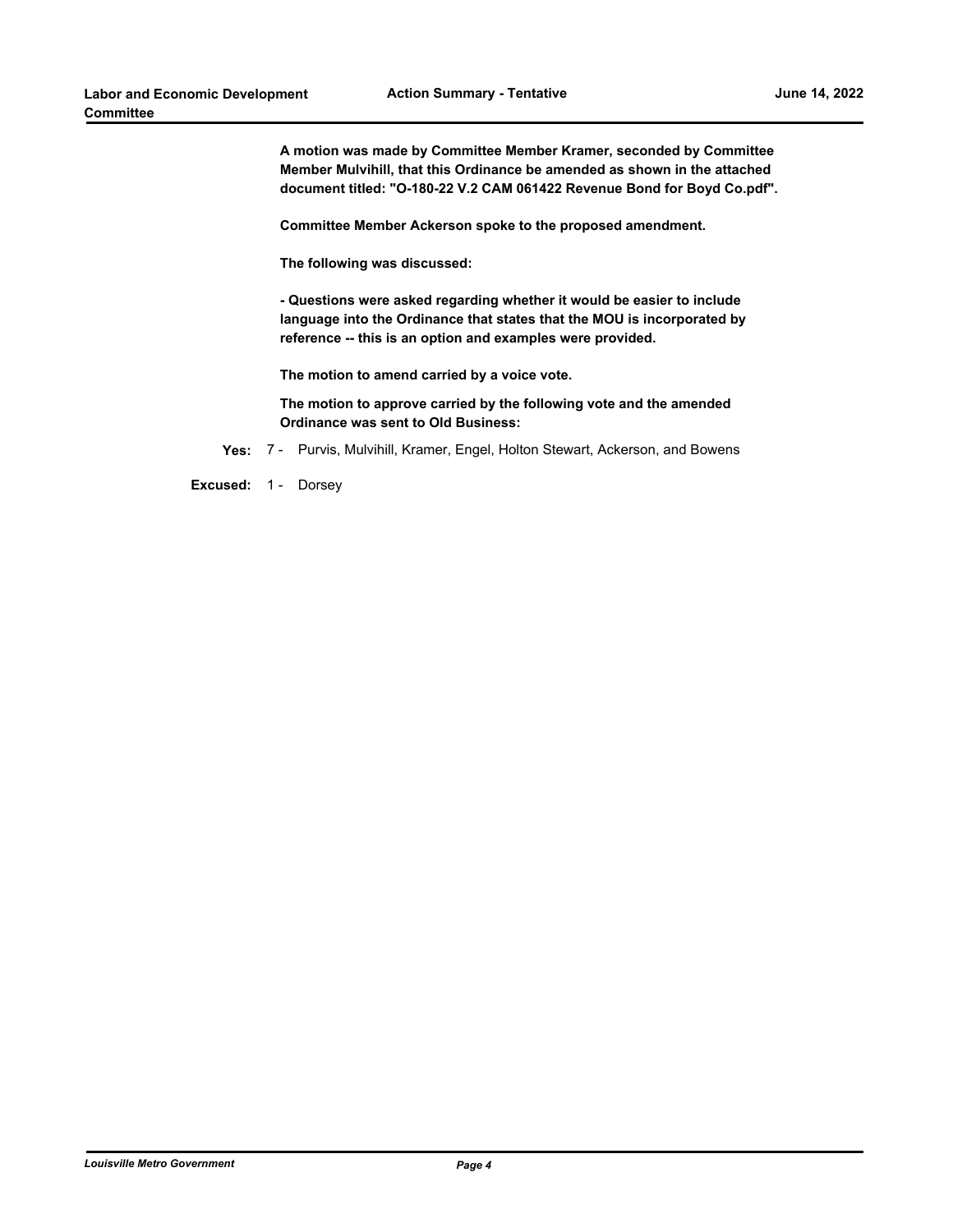**A motion was made by Committee Member Kramer, seconded by Committee Member Mulvihill, that this Ordinance be amended as shown in the attached document titled: "O-180-22 V.2 CAM 061422 Revenue Bond for Boyd Co.pdf".**

**Committee Member Ackerson spoke to the proposed amendment.**

**The following was discussed:** 

**- Questions were asked regarding whether it would be easier to include language into the Ordinance that states that the MOU is incorporated by reference -- this is an option and examples were provided.** 

**The motion to amend carried by a voice vote.**

**The motion to approve carried by the following vote and the amended Ordinance was sent to Old Business:**

**Yes:** 7 - Purvis, Mulvihill, Kramer, Engel, Holton Stewart, Ackerson, and Bowens

**Excused:** 1 - Dorsey